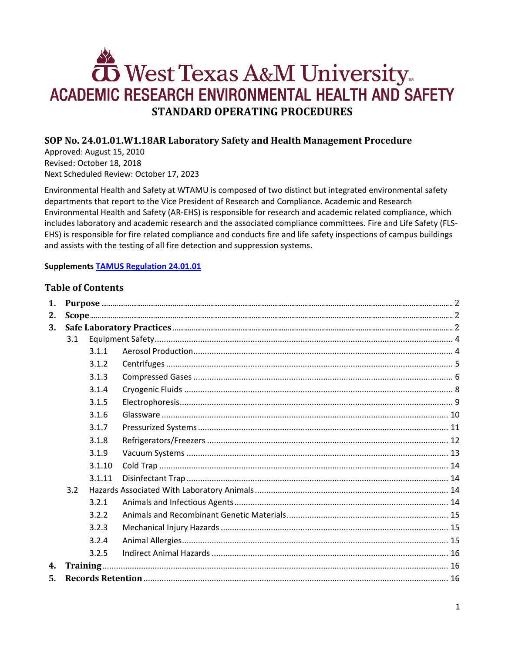# West Texas A&M University ACADEMIC RESEARCH ENVIRONMENTAL HEALTH AND SAFETY **STANDARD OPERATING PROCEDURES**

# SOP No. 24.01.01.W1.18AR Laboratory Safety and Health Management Procedure

Approved: August 15, 2010 Revised: October 18, 2018 Next Scheduled Review: October 17, 2023

Environmental Health and Safety at WTAMU is composed of two distinct but integrated environmental safety departments that report to the Vice President of Research and Compliance. Academic and Research Environmental Health and Safety (AR-EHS) is responsible for research and academic related compliance, which includes laboratory and academic research and the associated compliance committees. Fire and Life Safety (FLS-EHS) is responsible for fire related compliance and conducts fire and life safety inspections of campus buildings and assists with the testing of all fire detection and suppression systems.

# **Supplements TAMUS Regulation 24.01.01**

# **Table of Contents**

| 1. |     |          |  |  |  |
|----|-----|----------|--|--|--|
| 2. |     |          |  |  |  |
| 3. |     |          |  |  |  |
|    | 3.1 |          |  |  |  |
|    |     | 3.1.1    |  |  |  |
|    |     | 3.1.2    |  |  |  |
|    |     | 3.1.3    |  |  |  |
|    |     | 3.1.4    |  |  |  |
|    |     | 3.1.5    |  |  |  |
|    |     | 3.1.6    |  |  |  |
|    |     | 3.1.7    |  |  |  |
|    |     | 3.1.8    |  |  |  |
|    |     | 3.1.9    |  |  |  |
|    |     | 3.1.10   |  |  |  |
|    |     | 3.1.11   |  |  |  |
|    | 3.2 |          |  |  |  |
|    |     | 3.2.1    |  |  |  |
|    |     | 3.2.2    |  |  |  |
|    |     | 3.2.3    |  |  |  |
|    |     | 3.2.4    |  |  |  |
|    |     | 3.2.5    |  |  |  |
| 4. |     | Training |  |  |  |
| 5. |     |          |  |  |  |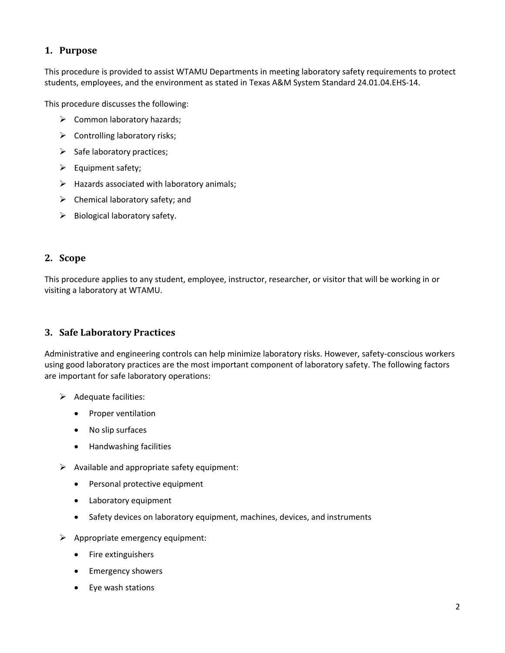# <span id="page-1-0"></span>**1. Purpose**

This procedure is provided to assist WTAMU Departments in meeting laboratory safety requirements to protect students, employees, and the environment as stated in Texas A&M System Standard 24.01.04.EHS-14.

This procedure discusses the following:

- $\triangleright$  Common laboratory hazards;
- $\triangleright$  Controlling laboratory risks;
- $\triangleright$  Safe laboratory practices;
- $\triangleright$  Equipment safety;
- $\triangleright$  Hazards associated with laboratory animals;
- $\triangleright$  Chemical laboratory safety; and
- $\triangleright$  Biological laboratory safety.

#### <span id="page-1-1"></span>**2. Scope**

This procedure applies to any student, employee, instructor, researcher, or visitor that will be working in or visiting a laboratory at WTAMU.

# <span id="page-1-2"></span>**3. Safe Laboratory Practices**

Administrative and engineering controls can help minimize laboratory risks. However, safety-conscious workers using good laboratory practices are the most important component of laboratory safety. The following factors are important for safe laboratory operations:

- $\triangleright$  Adequate facilities:
	- Proper ventilation
	- No slip surfaces
	- Handwashing facilities
- $\triangleright$  Available and appropriate safety equipment:
	- Personal protective equipment
	- Laboratory equipment
	- Safety devices on laboratory equipment, machines, devices, and instruments
- $\triangleright$  Appropriate emergency equipment:
	- Fire extinguishers
	- **•** Emergency showers
	- Eye wash stations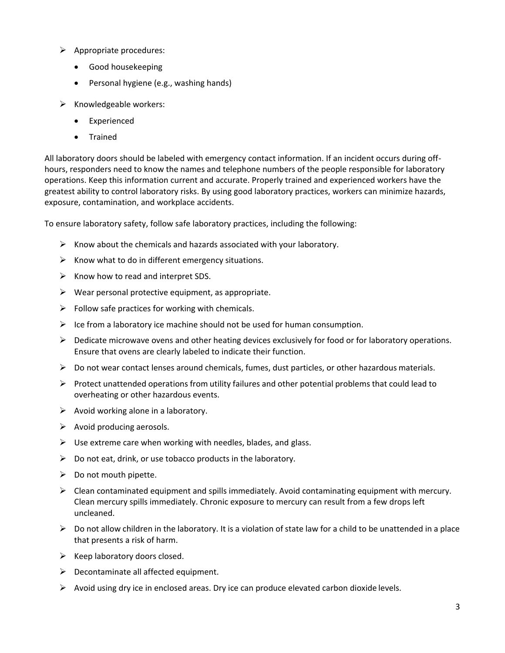- $\triangleright$  Appropriate procedures:
	- Good housekeeping
	- Personal hygiene (e.g., washing hands)
- $\triangleright$  Knowledgeable workers:
	- Experienced
	- Trained

All laboratory doors should be labeled with emergency contact information. If an incident occurs during offhours, responders need to know the names and telephone numbers of the people responsible for laboratory operations. Keep this information current and accurate. Properly trained and experienced workers have the greatest ability to control laboratory risks. By using good laboratory practices, workers can minimize hazards, exposure, contamination, and workplace accidents.

To ensure laboratory safety, follow safe laboratory practices, including the following:

- $\triangleright$  Know about the chemicals and hazards associated with your laboratory.
- $\triangleright$  Know what to do in different emergency situations.
- $\triangleright$  Know how to read and interpret SDS.
- $\triangleright$  Wear personal protective equipment, as appropriate.
- $\triangleright$  Follow safe practices for working with chemicals.
- $\triangleright$  Ice from a laboratory ice machine should not be used for human consumption.
- $\triangleright$  Dedicate microwave ovens and other heating devices exclusively for food or for laboratory operations. Ensure that ovens are clearly labeled to indicate their function.
- $\triangleright$  Do not wear contact lenses around chemicals, fumes, dust particles, or other hazardous materials.
- $\triangleright$  Protect unattended operations from utility failures and other potential problems that could lead to overheating or other hazardous events.
- $\triangleright$  Avoid working alone in a laboratory.
- $\triangleright$  Avoid producing aerosols.
- $\triangleright$  Use extreme care when working with needles, blades, and glass.
- $\triangleright$  Do not eat, drink, or use tobacco products in the laboratory.
- $\triangleright$  Do not mouth pipette.
- $\triangleright$  Clean contaminated equipment and spills immediately. Avoid contaminating equipment with mercury. Clean mercury spills immediately. Chronic exposure to mercury can result from a few drops left uncleaned.
- $\triangleright$  Do not allow children in the laboratory. It is a violation of state law for a child to be unattended in a place that presents a risk of harm.
- $\triangleright$  Keep laboratory doors closed.
- $\triangleright$  Decontaminate all affected equipment.
- $\triangleright$  Avoid using dry ice in enclosed areas. Dry ice can produce elevated carbon dioxide levels.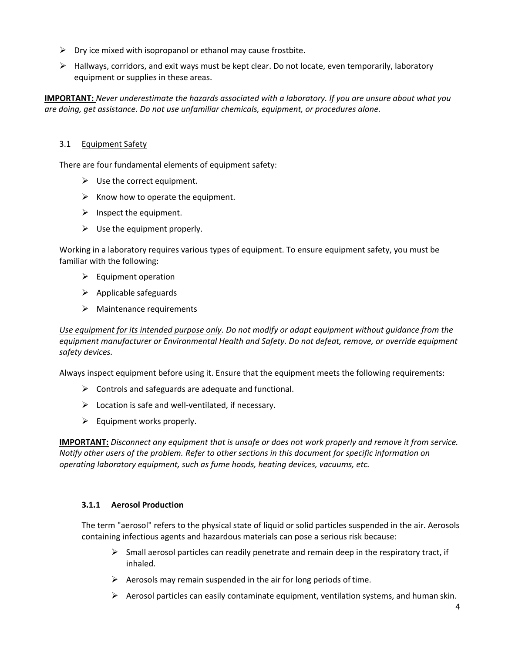- $\triangleright$  Dry ice mixed with isopropanol or ethanol may cause frostbite.
- $\triangleright$  Hallways, corridors, and exit ways must be kept clear. Do not locate, even temporarily, laboratory equipment or supplies in these areas.

**IMPORTANT:** *Never underestimate the hazards associated with a laboratory. If you are unsure about what you are doing, get assistance. Do not use unfamiliar chemicals, equipment, or procedures alone.*

## <span id="page-3-0"></span>3.1 Equipment Safety

There are four fundamental elements of equipment safety:

- $\triangleright$  Use the correct equipment.
- $\triangleright$  Know how to operate the equipment.
- $\triangleright$  Inspect the equipment.
- $\triangleright$  Use the equipment properly.

Working in a laboratory requires various types of equipment. To ensure equipment safety, you must be familiar with the following:

- $\triangleright$  Equipment operation
- $\triangleright$  Applicable safeguards
- $\triangleright$  Maintenance requirements

*Use equipment for its intended purpose only. Do not modify or adapt equipment without guidance from the equipment manufacturer or Environmental Health and Safety. Do not defeat, remove, or override equipment safety devices.*

Always inspect equipment before using it. Ensure that the equipment meets the following requirements:

- $\triangleright$  Controls and safeguards are adequate and functional.
- $\triangleright$  Location is safe and well-ventilated, if necessary.
- $\triangleright$  Equipment works properly.

**IMPORTANT:** *Disconnect any equipment that is unsafe or does not work properly and remove it from service. Notify other users of the problem. Refer to other sections in this document for specific information on operating laboratory equipment, such as fume hoods, heating devices, vacuums, etc.*

#### <span id="page-3-1"></span>**3.1.1 Aerosol Production**

The term "aerosol" refers to the physical state of liquid or solid particles suspended in the air. Aerosols containing infectious agents and hazardous materials can pose a serious risk because:

- $\triangleright$  Small aerosol particles can readily penetrate and remain deep in the respiratory tract, if inhaled.
- $\triangleright$  Aerosols may remain suspended in the air for long periods of time.
- $\triangleright$  Aerosol particles can easily contaminate equipment, ventilation systems, and human skin.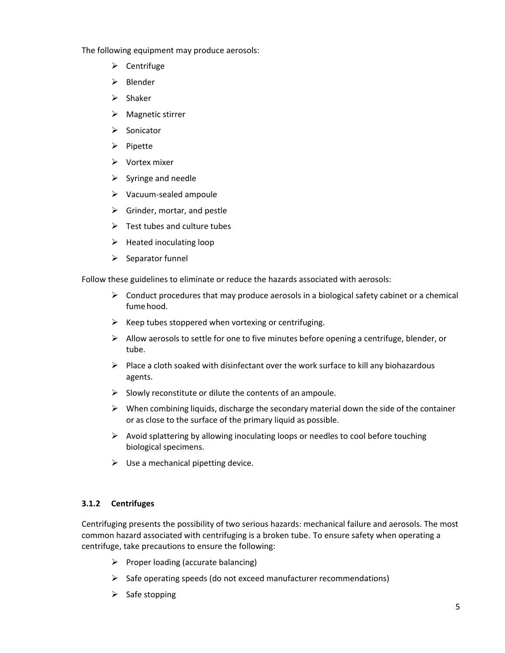The following equipment may produce aerosols:

- $\triangleright$  Centrifuge
- $\triangleright$  Blender
- $\triangleright$  Shaker
- $\triangleright$  Magnetic stirrer
- $\triangleright$  Sonicator
- $\triangleright$  Pipette
- $\triangleright$  Vortex mixer
- $\triangleright$  Syringe and needle
- $\triangleright$  Vacuum-sealed ampoule
- $\triangleright$  Grinder, mortar, and pestle
- $\triangleright$  Test tubes and culture tubes
- $\triangleright$  Heated inoculating loop
- $\triangleright$  Separator funnel

Follow these guidelines to eliminate or reduce the hazards associated with aerosols:

- $\triangleright$  Conduct procedures that may produce aerosols in a biological safety cabinet or a chemical fumehood.
- $\triangleright$  Keep tubes stoppered when vortexing or centrifuging.
- $\triangleright$  Allow aerosols to settle for one to five minutes before opening a centrifuge, blender, or tube.
- $\triangleright$  Place a cloth soaked with disinfectant over the work surface to kill any biohazardous agents.
- $\triangleright$  Slowly reconstitute or dilute the contents of an ampoule.
- $\triangleright$  When combining liquids, discharge the secondary material down the side of the container or as close to the surface of the primary liquid as possible.
- $\triangleright$  Avoid splattering by allowing inoculating loops or needles to cool before touching biological specimens.
- $\triangleright$  Use a mechanical pipetting device.

# <span id="page-4-0"></span>**3.1.2 Centrifuges**

Centrifuging presents the possibility of two serious hazards: mechanical failure and aerosols. The most common hazard associated with centrifuging is a broken tube. To ensure safety when operating a centrifuge, take precautions to ensure the following:

- $\triangleright$  Proper loading (accurate balancing)
- $\triangleright$  Safe operating speeds (do not exceed manufacturer recommendations)
- $\triangleright$  Safe stopping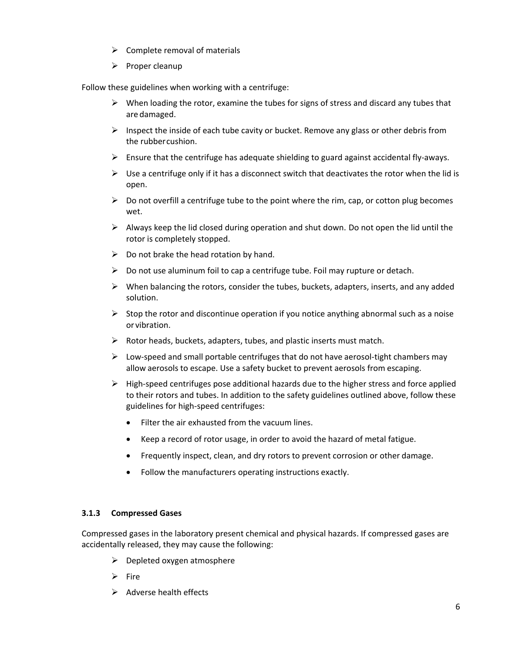- $\triangleright$  Complete removal of materials
- $\triangleright$  Proper cleanup

Follow these guidelines when working with a centrifuge:

- $\triangleright$  When loading the rotor, examine the tubes for signs of stress and discard any tubes that are damaged.
- $\triangleright$  Inspect the inside of each tube cavity or bucket. Remove any glass or other debris from the rubbercushion.
- $\triangleright$  Ensure that the centrifuge has adequate shielding to guard against accidental fly-aways.
- $\triangleright$  Use a centrifuge only if it has a disconnect switch that deactivates the rotor when the lid is open.
- $\triangleright$  Do not overfill a centrifuge tube to the point where the rim, cap, or cotton plug becomes wet.
- $\triangleright$  Always keep the lid closed during operation and shut down. Do not open the lid until the rotor is completely stopped.
- $\triangleright$  Do not brake the head rotation by hand.
- $\triangleright$  Do not use aluminum foil to cap a centrifuge tube. Foil may rupture or detach.
- $\triangleright$  When balancing the rotors, consider the tubes, buckets, adapters, inserts, and any added solution.
- $\triangleright$  Stop the rotor and discontinue operation if you notice anything abnormal such as a noise or vibration.
- $\triangleright$  Rotor heads, buckets, adapters, tubes, and plastic inserts must match.
- $\triangleright$  Low-speed and small portable centrifuges that do not have aerosol-tight chambers may allow aerosols to escape. Use a safety bucket to prevent aerosols from escaping.
- $\triangleright$  High-speed centrifuges pose additional hazards due to the higher stress and force applied to their rotors and tubes. In addition to the safety guidelines outlined above, follow these guidelines for high-speed centrifuges:
	- Filter the air exhausted from the vacuum lines.
	- Keep a record of rotor usage, in order to avoid the hazard of metal fatigue.
	- Frequently inspect, clean, and dry rotors to prevent corrosion or other damage.
	- Follow the manufacturers operating instructions exactly.

#### <span id="page-5-0"></span>**3.1.3 Compressed Gases**

Compressed gases in the laboratory present chemical and physical hazards. If compressed gases are accidentally released, they may cause the following:

- $\triangleright$  Depleted oxygen atmosphere
- $\triangleright$  Fire
- $\triangleright$  Adverse health effects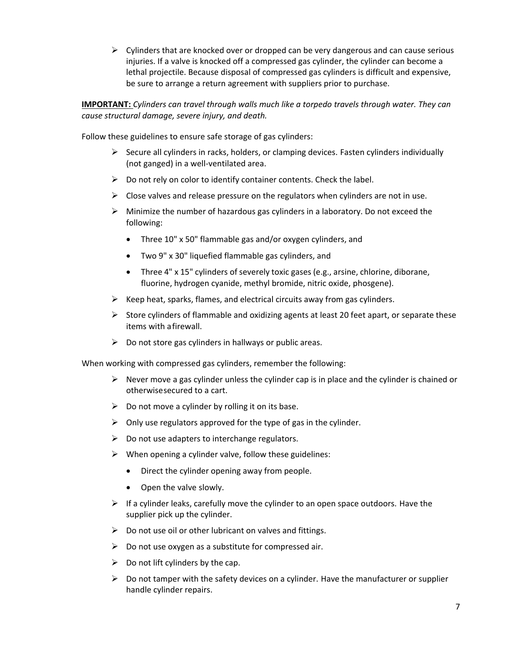$\triangleright$  Cylinders that are knocked over or dropped can be very dangerous and can cause serious injuries. If a valve is knocked off a compressed gas cylinder, the cylinder can become a lethal projectile. Because disposal of compressed gas cylinders is difficult and expensive, be sure to arrange a return agreement with suppliers prior to purchase.

**IMPORTANT:** *Cylinders can travel through walls much like a torpedo travels through water. They can cause structural damage, severe injury, and death.*

Follow these guidelines to ensure safe storage of gas cylinders:

- $\triangleright$  Secure all cylinders in racks, holders, or clamping devices. Fasten cylinders individually (not ganged) in a well-ventilated area.
- $\triangleright$  Do not rely on color to identify container contents. Check the label.
- $\triangleright$  Close valves and release pressure on the regulators when cylinders are not in use.
- $\triangleright$  Minimize the number of hazardous gas cylinders in a laboratory. Do not exceed the following:
	- Three 10" x 50" flammable gas and/or oxygen cylinders, and
	- Two 9" x 30" liquefied flammable gas cylinders, and
	- Three 4" x 15" cylinders of severely toxic gases (e.g., arsine, chlorine, diborane, fluorine, hydrogen cyanide, methyl bromide, nitric oxide, phosgene).
- $\triangleright$  Keep heat, sparks, flames, and electrical circuits away from gas cylinders.
- $\triangleright$  Store cylinders of flammable and oxidizing agents at least 20 feet apart, or separate these items with afirewall.
- $\triangleright$  Do not store gas cylinders in hallways or public areas.

When working with compressed gas cylinders, remember the following:

- $\triangleright$  Never move a gas cylinder unless the cylinder cap is in place and the cylinder is chained or otherwisesecured to a cart.
- $\triangleright$  Do not move a cylinder by rolling it on its base.
- $\triangleright$  Only use regulators approved for the type of gas in the cylinder.
- $\triangleright$  Do not use adapters to interchange regulators.
- $\triangleright$  When opening a cylinder valve, follow these guidelines:
	- Direct the cylinder opening away from people.
	- Open the valve slowly.
- $\triangleright$  If a cylinder leaks, carefully move the cylinder to an open space outdoors. Have the supplier pick up the cylinder.
- $\triangleright$  Do not use oil or other lubricant on valves and fittings.
- $\triangleright$  Do not use oxygen as a substitute for compressed air.
- $\triangleright$  Do not lift cylinders by the cap.
- $\triangleright$  Do not tamper with the safety devices on a cylinder. Have the manufacturer or supplier handle cylinder repairs.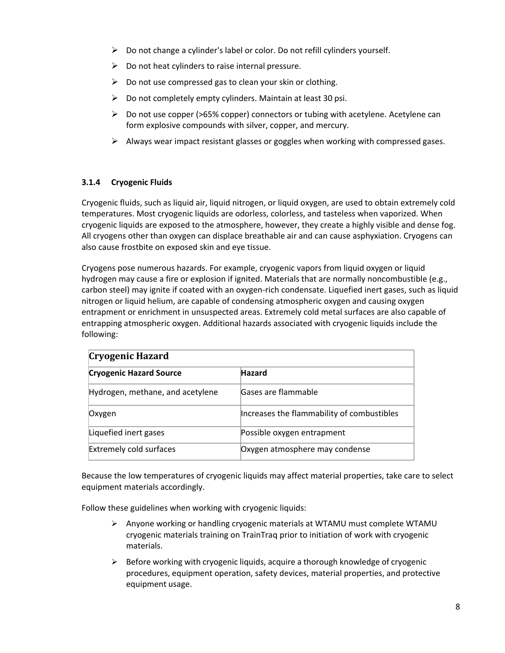- $\triangleright$  Do not change a cylinder's label or color. Do not refill cylinders yourself.
- $\triangleright$  Do not heat cylinders to raise internal pressure.
- $\triangleright$  Do not use compressed gas to clean your skin or clothing.
- $\triangleright$  Do not completely empty cylinders. Maintain at least 30 psi.
- $\triangleright$  Do not use copper (>65% copper) connectors or tubing with acetylene. Acetylene can form explosive compounds with silver, copper, and mercury.
- $\triangleright$  Always wear impact resistant glasses or goggles when working with compressed gases.

# <span id="page-7-0"></span>**3.1.4 Cryogenic Fluids**

Cryogenic fluids, such as liquid air, liquid nitrogen, or liquid oxygen, are used to obtain extremely cold temperatures. Most cryogenic liquids are odorless, colorless, and tasteless when vaporized. When cryogenic liquids are exposed to the atmosphere, however, they create a highly visible and dense fog. All cryogens other than oxygen can displace breathable air and can cause asphyxiation. Cryogens can also cause frostbite on exposed skin and eye tissue.

Cryogens pose numerous hazards. For example, cryogenic vapors from liquid oxygen or liquid hydrogen may cause a fire or explosion if ignited. Materials that are normally noncombustible (e.g., carbon steel) may ignite if coated with an oxygen-rich condensate. Liquefied inert gases, such as liquid nitrogen or liquid helium, are capable of condensing atmospheric oxygen and causing oxygen entrapment or enrichment in unsuspected areas. Extremely cold metal surfaces are also capable of entrapping atmospheric oxygen. Additional hazards associated with cryogenic liquids include the following:

| <b>Cryogenic Hazard</b>          |                                            |  |  |  |
|----------------------------------|--------------------------------------------|--|--|--|
| <b>Cryogenic Hazard Source</b>   | <b>Hazard</b>                              |  |  |  |
| Hydrogen, methane, and acetylene | Gases are flammable                        |  |  |  |
| Oxygen                           | Increases the flammability of combustibles |  |  |  |
| Liquefied inert gases            | Possible oxygen entrapment                 |  |  |  |
| <b>Extremely cold surfaces</b>   | Oxygen atmosphere may condense             |  |  |  |

Because the low temperatures of cryogenic liquids may affect material properties, take care to select equipment materials accordingly.

Follow these guidelines when working with cryogenic liquids:

- $\triangleright$  Anyone working or handling cryogenic materials at WTAMU must complete WTAMU cryogenic materials training on TrainTraq prior to initiation of work with cryogenic materials.
- $\triangleright$  Before working with cryogenic liquids, acquire a thorough knowledge of cryogenic procedures, equipment operation, safety devices, material properties, and protective equipment usage.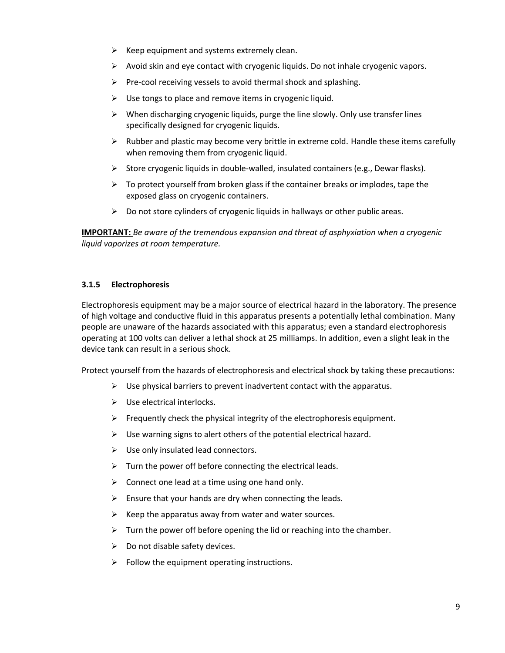- $\triangleright$  Keep equipment and systems extremely clean.
- $\triangleright$  Avoid skin and eye contact with cryogenic liquids. Do not inhale cryogenic vapors.
- $\triangleright$  Pre-cool receiving vessels to avoid thermal shock and splashing.
- $\triangleright$  Use tongs to place and remove items in cryogenic liquid.
- $\triangleright$  When discharging cryogenic liquids, purge the line slowly. Only use transfer lines specifically designed for cryogenic liquids.
- $\triangleright$  Rubber and plastic may become very brittle in extreme cold. Handle these items carefully when removing them from cryogenic liquid.
- $\triangleright$  Store cryogenic liquids in double-walled, insulated containers (e.g., Dewar flasks).
- $\triangleright$  To protect yourself from broken glass if the container breaks or implodes, tape the exposed glass on cryogenic containers.
- $\triangleright$  Do not store cylinders of cryogenic liquids in hallways or other public areas.

**IMPORTANT:** *Be aware of the tremendous expansion and threat of asphyxiation when a cryogenic liquid vaporizes at room temperature.*

#### <span id="page-8-0"></span>**3.1.5 Electrophoresis**

Electrophoresis equipment may be a major source of electrical hazard in the laboratory. The presence of high voltage and conductive fluid in this apparatus presents a potentially lethal combination. Many people are unaware of the hazards associated with this apparatus; even a standard electrophoresis operating at 100 volts can deliver a lethal shock at 25 milliamps. In addition, even a slight leak in the device tank can result in a serious shock.

Protect yourself from the hazards of electrophoresis and electrical shock by taking these precautions:

- $\triangleright$  Use physical barriers to prevent inadvertent contact with the apparatus.
- $\triangleright$  Use electrical interlocks.
- $\triangleright$  Frequently check the physical integrity of the electrophoresis equipment.
- $\triangleright$  Use warning signs to alert others of the potential electrical hazard.
- $\triangleright$  Use only insulated lead connectors.
- $\triangleright$  Turn the power off before connecting the electrical leads.
- $\triangleright$  Connect one lead at a time using one hand only.
- $\triangleright$  Ensure that your hands are dry when connecting the leads.
- $\triangleright$  Keep the apparatus away from water and water sources.
- $\triangleright$  Turn the power off before opening the lid or reaching into the chamber.
- $\triangleright$  Do not disable safety devices.
- $\triangleright$  Follow the equipment operating instructions.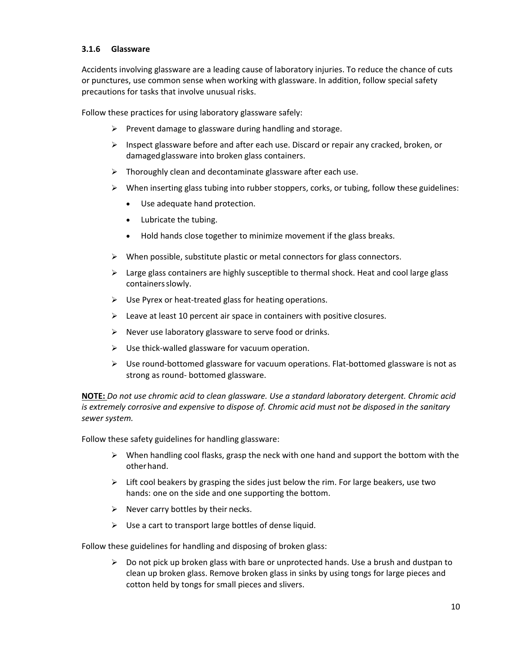#### <span id="page-9-0"></span>**3.1.6 Glassware**

Accidents involving glassware are a leading cause of laboratory injuries. To reduce the chance of cuts or punctures, use common sense when working with glassware. In addition, follow special safety precautions for tasks that involve unusual risks.

Follow these practices for using laboratory glassware safely:

- $\triangleright$  Prevent damage to glassware during handling and storage.
- $\triangleright$  Inspect glassware before and after each use. Discard or repair any cracked, broken, or damagedglassware into broken glass containers.
- $\triangleright$  Thoroughly clean and decontaminate glassware after each use.
- $\triangleright$  When inserting glass tubing into rubber stoppers, corks, or tubing, follow these guidelines:
	- Use adequate hand protection.
	- Lubricate the tubing.
	- Hold hands close together to minimize movement if the glass breaks.
- $\triangleright$  When possible, substitute plastic or metal connectors for glass connectors.
- $\triangleright$  Large glass containers are highly susceptible to thermal shock. Heat and cool large glass containers slowly.
- $\triangleright$  Use Pyrex or heat-treated glass for heating operations.
- $\triangleright$  Leave at least 10 percent air space in containers with positive closures.
- $\triangleright$  Never use laboratory glassware to serve food or drinks.
- $\triangleright$  Use thick-walled glassware for vacuum operation.
- $\triangleright$  Use round-bottomed glassware for vacuum operations. Flat-bottomed glassware is not as strong as round- bottomed glassware.

**NOTE:** *Do not use chromic acid to clean glassware. Use a standard laboratory detergent. Chromic acid is extremely corrosive and expensive to dispose of. Chromic acid must not be disposed in the sanitary sewer system.*

Follow these safety guidelines for handling glassware:

- $\triangleright$  When handling cool flasks, grasp the neck with one hand and support the bottom with the otherhand.
- $\triangleright$  Lift cool beakers by grasping the sides just below the rim. For large beakers, use two hands: one on the side and one supporting the bottom.
- $\triangleright$  Never carry bottles by their necks.
- $\triangleright$  Use a cart to transport large bottles of dense liquid.

Follow these guidelines for handling and disposing of broken glass:

 $\triangleright$  Do not pick up broken glass with bare or unprotected hands. Use a brush and dustpan to clean up broken glass. Remove broken glass in sinks by using tongs for large pieces and cotton held by tongs for small pieces and slivers.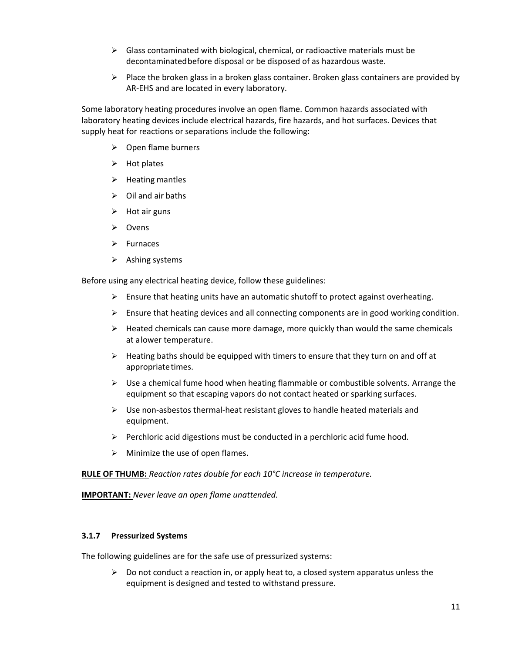- $\triangleright$  Glass contaminated with biological, chemical, or radioactive materials must be decontaminatedbefore disposal or be disposed of as hazardous waste.
- $\triangleright$  Place the broken glass in a broken glass container. Broken glass containers are provided by AR-EHS and are located in every laboratory.

Some laboratory heating procedures involve an open flame. Common hazards associated with laboratory heating devices include electrical hazards, fire hazards, and hot surfaces. Devices that supply heat for reactions or separations include the following:

- $\triangleright$  Open flame burners
- $\triangleright$  Hot plates
- $\triangleright$  Heating mantles
- $\triangleright$  Oil and air baths
- $\triangleright$  Hot air guns
- Ovens
- $\triangleright$  Furnaces
- $\triangleright$  Ashing systems

Before using any electrical heating device, follow these guidelines:

- $\triangleright$  Ensure that heating units have an automatic shutoff to protect against overheating.
- $\triangleright$  Ensure that heating devices and all connecting components are in good working condition.
- $\triangleright$  Heated chemicals can cause more damage, more quickly than would the same chemicals at alower temperature.
- $\triangleright$  Heating baths should be equipped with timers to ensure that they turn on and off at appropriate times.
- $\triangleright$  Use a chemical fume hood when heating flammable or combustible solvents. Arrange the equipment so that escaping vapors do not contact heated or sparking surfaces.
- $\triangleright$  Use non-asbestos thermal-heat resistant gloves to handle heated materials and equipment.
- $\triangleright$  Perchloric acid digestions must be conducted in a perchloric acid fume hood.
- $\triangleright$  Minimize the use of open flames.

**RULE OF THUMB:** *Reaction rates double for each 10°C increase in temperature.*

**IMPORTANT:** *Never leave an open flame unattended.*

#### <span id="page-10-0"></span>**3.1.7 Pressurized Systems**

The following guidelines are for the safe use of pressurized systems:

 $\triangleright$  Do not conduct a reaction in, or apply heat to, a closed system apparatus unless the equipment is designed and tested to withstand pressure.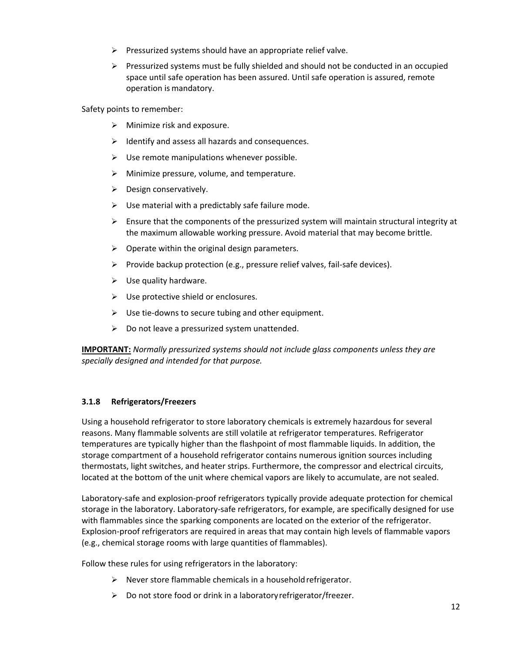- $\triangleright$  Pressurized systems should have an appropriate relief valve.
- $\triangleright$  Pressurized systems must be fully shielded and should not be conducted in an occupied space until safe operation has been assured. Until safe operation is assured, remote operation is mandatory.

Safety points to remember:

- $\triangleright$  Minimize risk and exposure.
- $\triangleright$  Identify and assess all hazards and consequences.
- $\triangleright$  Use remote manipulations whenever possible.
- $\triangleright$  Minimize pressure, volume, and temperature.
- $\triangleright$  Design conservatively.
- $\triangleright$  Use material with a predictably safe failure mode.
- $\triangleright$  Ensure that the components of the pressurized system will maintain structural integrity at the maximum allowable working pressure. Avoid material that may become brittle.
- $\triangleright$  Operate within the original design parameters.
- $\triangleright$  Provide backup protection (e.g., pressure relief valves, fail-safe devices).
- $\triangleright$  Use quality hardware.
- $\triangleright$  Use protective shield or enclosures.
- $\triangleright$  Use tie-downs to secure tubing and other equipment.
- $\triangleright$  Do not leave a pressurized system unattended.

**IMPORTANT:** *Normally pressurized systems should not include glass components unless they are specially designed and intended for that purpose.*

#### <span id="page-11-0"></span>**3.1.8 Refrigerators/Freezers**

Using a household refrigerator to store laboratory chemicals is extremely hazardous for several reasons. Many flammable solvents are still volatile at refrigerator temperatures. Refrigerator temperatures are typically higher than the flashpoint of most flammable liquids. In addition, the storage compartment of a household refrigerator contains numerous ignition sources including thermostats, light switches, and heater strips. Furthermore, the compressor and electrical circuits, located at the bottom of the unit where chemical vapors are likely to accumulate, are not sealed.

Laboratory-safe and explosion-proof refrigerators typically provide adequate protection for chemical storage in the laboratory. Laboratory-safe refrigerators, for example, are specifically designed for use with flammables since the sparking components are located on the exterior of the refrigerator. Explosion-proof refrigerators are required in areas that may contain high levels of flammable vapors (e.g., chemical storage rooms with large quantities of flammables).

Follow these rules for using refrigerators in the laboratory:

- $\triangleright$  Never store flammable chemicals in a household refrigerator.
- $\triangleright$  Do not store food or drink in a laboratory refrigerator/freezer.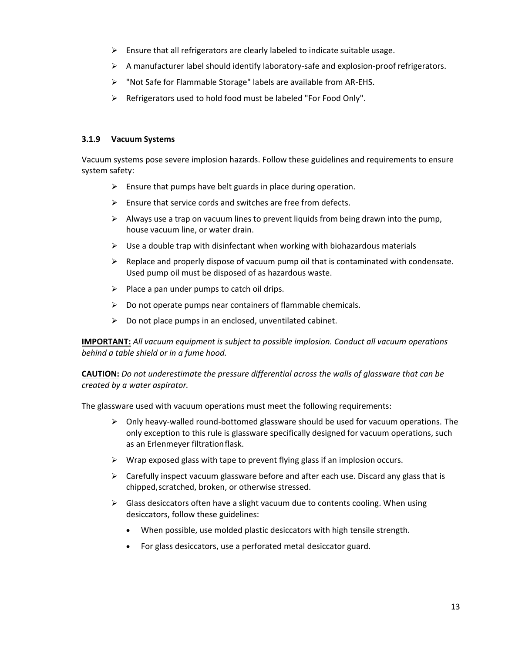- $\triangleright$  Ensure that all refrigerators are clearly labeled to indicate suitable usage.
- $\triangleright$  A manufacturer label should identify laboratory-safe and explosion-proof refrigerators.
- "Not Safe for Flammable Storage" labels are available from AR-EHS.
- $\triangleright$  Refrigerators used to hold food must be labeled "For Food Only".

#### <span id="page-12-0"></span>**3.1.9 Vacuum Systems**

Vacuum systems pose severe implosion hazards. Follow these guidelines and requirements to ensure system safety:

- $\triangleright$  Ensure that pumps have belt guards in place during operation.
- $\triangleright$  Ensure that service cords and switches are free from defects.
- $\triangleright$  Always use a trap on vacuum lines to prevent liquids from being drawn into the pump, house vacuum line, or water drain.
- $\triangleright$  Use a double trap with disinfectant when working with biohazardous materials
- $\triangleright$  Replace and properly dispose of vacuum pump oil that is contaminated with condensate. Used pump oil must be disposed of as hazardous waste.
- $\triangleright$  Place a pan under pumps to catch oil drips.
- $\triangleright$  Do not operate pumps near containers of flammable chemicals.
- $\triangleright$  Do not place pumps in an enclosed, unventilated cabinet.

**IMPORTANT:** *All vacuum equipment is subject to possible implosion. Conduct all vacuum operations behind a table shield or in a fume hood.*

**CAUTION:** *Do not underestimate the pressure differential across the walls of glassware that can be created by a water aspirator.*

The glassware used with vacuum operations must meet the following requirements:

- $\triangleright$  Only heavy-walled round-bottomed glassware should be used for vacuum operations. The only exception to this rule is glassware specifically designed for vacuum operations, such as an Erlenmeyer filtrationflask.
- $\triangleright$  Wrap exposed glass with tape to prevent flying glass if an implosion occurs.
- $\triangleright$  Carefully inspect vacuum glassware before and after each use. Discard any glass that is chipped,scratched, broken, or otherwise stressed.
- $\triangleright$  Glass desiccators often have a slight vacuum due to contents cooling. When using desiccators, follow these guidelines:
	- When possible, use molded plastic desiccators with high tensile strength.
	- For glass desiccators, use a perforated metal desiccator guard.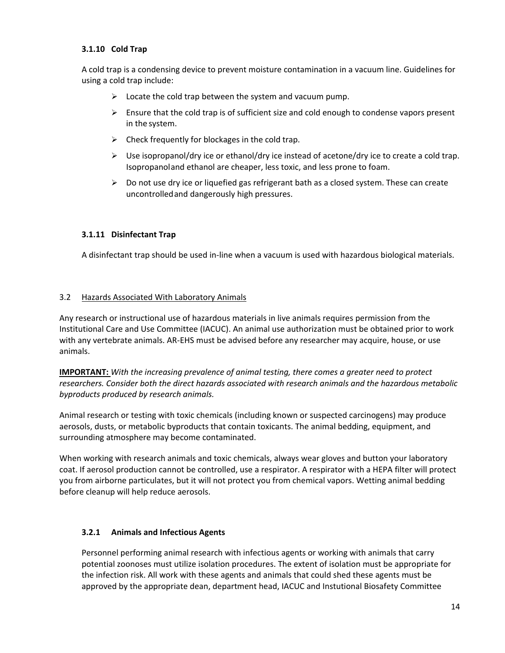#### <span id="page-13-0"></span>**3.1.10 Cold Trap**

A cold trap is a condensing device to prevent moisture contamination in a vacuum line. Guidelines for using a cold trap include:

- $\triangleright$  Locate the cold trap between the system and vacuum pump.
- $\triangleright$  Ensure that the cold trap is of sufficient size and cold enough to condense vapors present in the system.
- $\triangleright$  Check frequently for blockages in the cold trap.
- $\triangleright$  Use isopropanol/dry ice or ethanol/dry ice instead of acetone/dry ice to create a cold trap. Isopropanoland ethanol are cheaper, less toxic, and less prone to foam.
- $\triangleright$  Do not use dry ice or liquefied gas refrigerant bath as a closed system. These can create uncontrolledand dangerously high pressures.

#### <span id="page-13-1"></span>**3.1.11 Disinfectant Trap**

A disinfectant trap should be used in-line when a vacuum is used with hazardous biological materials.

#### <span id="page-13-2"></span>3.2 Hazards Associated With Laboratory Animals

Any research or instructional use of hazardous materials in live animals requires permission from the Institutional Care and Use Committee (IACUC). An animal use authorization must be obtained prior to work with any vertebrate animals. AR-EHS must be advised before any researcher may acquire, house, or use animals.

**IMPORTANT:** *With the increasing prevalence of animal testing, there comes a greater need to protect researchers. Consider both the direct hazards associated with research animals and the hazardous metabolic byproducts produced by research animals.*

Animal research or testing with toxic chemicals (including known or suspected carcinogens) may produce aerosols, dusts, or metabolic byproducts that contain toxicants. The animal bedding, equipment, and surrounding atmosphere may become contaminated.

When working with research animals and toxic chemicals, always wear gloves and button your laboratory coat. If aerosol production cannot be controlled, use a respirator. A respirator with a HEPA filter will protect you from airborne particulates, but it will not protect you from chemical vapors. Wetting animal bedding before cleanup will help reduce aerosols.

#### <span id="page-13-3"></span>**3.2.1 Animals and Infectious Agents**

Personnel performing animal research with infectious agents or working with animals that carry potential zoonoses must utilize isolation procedures. The extent of isolation must be appropriate for the infection risk. All work with these agents and animals that could shed these agents must be approved by the appropriate dean, department head, IACUC and Instutional Biosafety Committee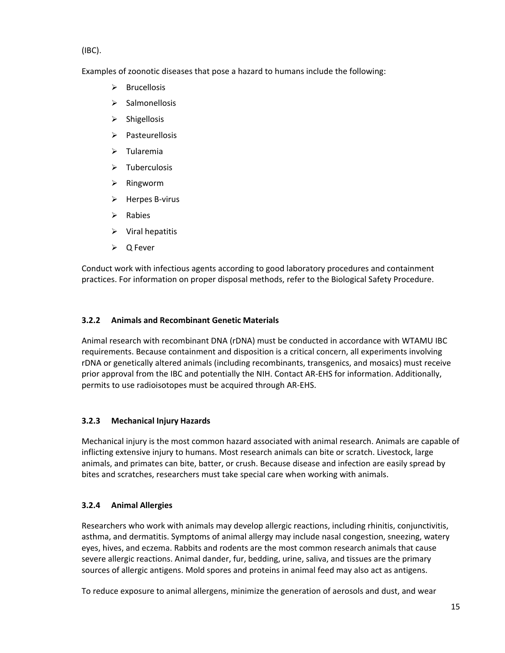(IBC).

Examples of zoonotic diseases that pose a hazard to humans include the following:

- $\triangleright$  Brucellosis
- $\triangleright$  Salmonellosis
- $\triangleright$  Shigellosis
- $\triangleright$  Pasteurellosis
- $\triangleright$  Tularemia
- $\triangleright$  Tuberculosis
- $\triangleright$  Ringworm
- $\triangleright$  Herpes B-virus
- $\triangleright$  Rabies
- $\triangleright$  Viral hepatitis
- Q Fever

Conduct work with infectious agents according to good laboratory procedures and containment practices. For information on proper disposal methods, refer to the Biological Safety Procedure.

# <span id="page-14-0"></span>**3.2.2 Animals and Recombinant Genetic Materials**

Animal research with recombinant DNA (rDNA) must be conducted in accordance with WTAMU IBC requirements. Because containment and disposition is a critical concern, all experiments involving rDNA or genetically altered animals (including recombinants, transgenics, and mosaics) must receive prior approval from the IBC and potentially the NIH. Contact AR-EHS for information. Additionally, permits to use radioisotopes must be acquired through AR-EHS.

# <span id="page-14-1"></span>**3.2.3 Mechanical Injury Hazards**

Mechanical injury is the most common hazard associated with animal research. Animals are capable of inflicting extensive injury to humans. Most research animals can bite or scratch. Livestock, large animals, and primates can bite, batter, or crush. Because disease and infection are easily spread by bites and scratches, researchers must take special care when working with animals.

# <span id="page-14-2"></span>**3.2.4 Animal Allergies**

Researchers who work with animals may develop allergic reactions, including rhinitis, conjunctivitis, asthma, and dermatitis. Symptoms of animal allergy may include nasal congestion, sneezing, watery eyes, hives, and eczema. Rabbits and rodents are the most common research animals that cause severe allergic reactions. Animal dander, fur, bedding, urine, saliva, and tissues are the primary sources of allergic antigens. Mold spores and proteins in animal feed may also act as antigens.

To reduce exposure to animal allergens, minimize the generation of aerosols and dust, and wear